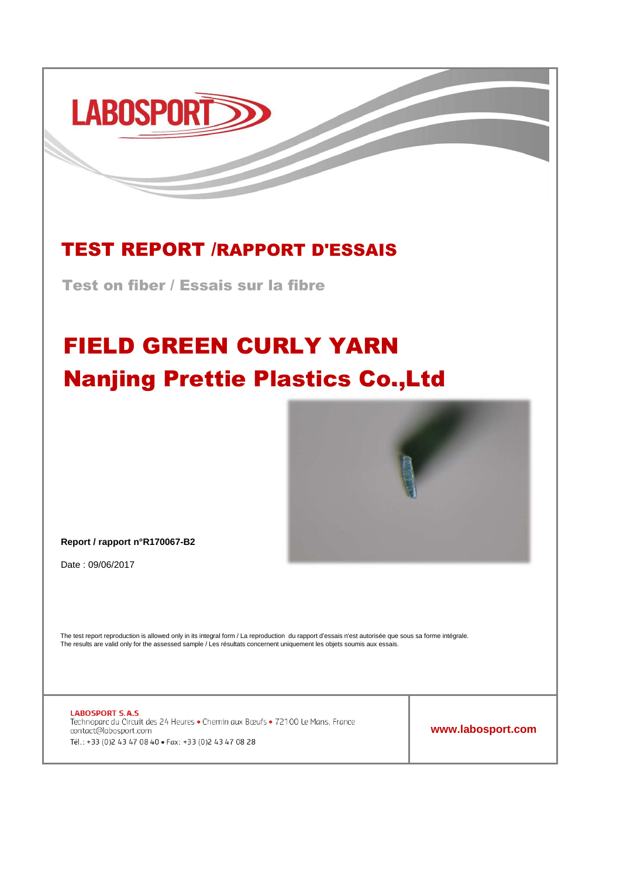# **LABOSPORT**

### TEST REPORT /RAPPORT D'ESSAIS

Test on fiber / Essais sur la fibre

## FIELD GREEN CURLY YARN Nanjing Prettie Plastics Co.,Ltd



**Report / rapport n°R170067-B2**

Date : 09/06/2017

The test report reproduction is allowed only in its integral form / La reproduction du rapport d'essais n'est autorisée que sous sa forme intégrale. The results are valid only for the assessed sample / Les résultats concernent uniquement les objets soumis aux essais.

**LABOSPORT S.A.S.** Technoparc du Circuit des 24 Heures · Chemin aux Bœufs · 72100 Le Mans, France contact@labosport.com Tél.: +33 (0)2 43 47 08 40 · Fax: +33 (0)2 43 47 08 28

**www.labosport.com**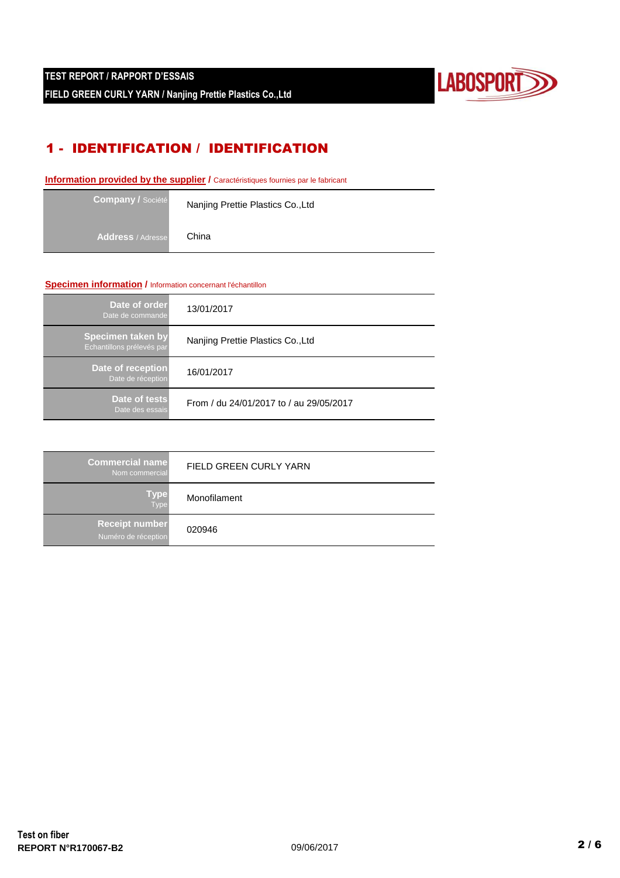

#### 1 - IDENTIFICATION / IDENTIFICATION

**Information provided by the supplier / Caractéristiques fournies par le fabricant** 

| <b>Company / Société</b> | Nanjing Prettie Plastics Co., Ltd |
|--------------------------|-----------------------------------|
| <b>Address</b> / Adresse | China                             |

#### **Specimen information /** Information concernant l'échantillon

| Date of order<br>Date de commande              | 13/01/2017                              |
|------------------------------------------------|-----------------------------------------|
| Specimen taken by<br>Echantillons prélevés par | Nanjing Prettie Plastics Co., Ltd       |
| Date of reception<br>Date de réception         | 16/01/2017                              |
| Date of tests<br>Date des essais               | From / du 24/01/2017 to / au 29/05/2017 |

| <b>Commercial name</b><br>Nom commercial     | FIELD GREEN CURLY YARN |  |  |
|----------------------------------------------|------------------------|--|--|
| Type<br>Type                                 | Monofilament           |  |  |
| <b>Receipt number</b><br>Numéro de réception | 020946                 |  |  |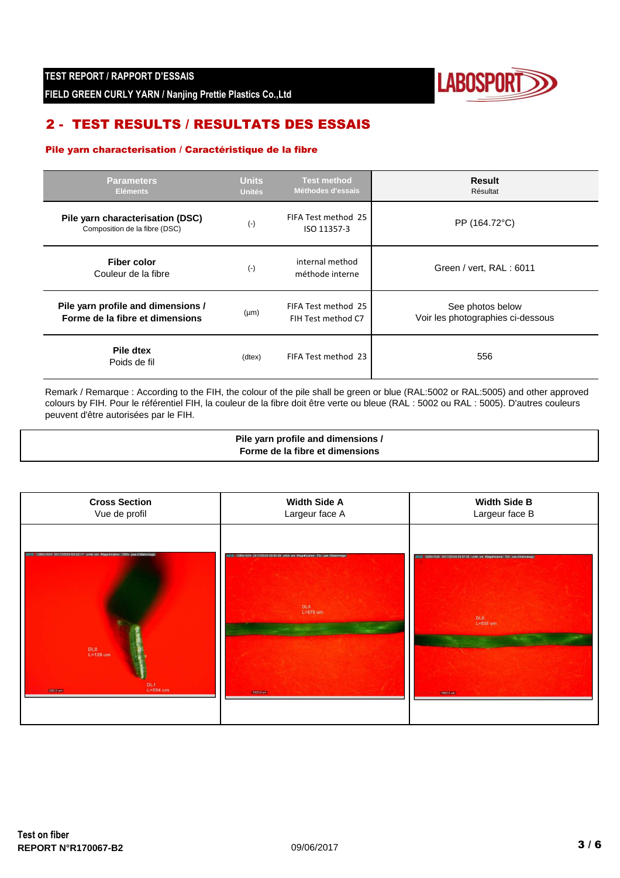

**FIELD GREEN CURLY YARN / Nanjing Prettie Plastics Co.,Ltd**

#### 2 - TEST RESULTS / RESULTATS DES ESSAIS

#### Pile yarn characterisation / Caractéristique de la fibre

| <b>Parameters</b><br><b>Eléments</b>                                  | <b>Units</b><br><b>Unités</b> | <b>Test method</b><br>Méthodes d'essais   | <b>Result</b><br>Résultat                             |
|-----------------------------------------------------------------------|-------------------------------|-------------------------------------------|-------------------------------------------------------|
| Pile yarn characterisation (DSC)<br>Composition de la fibre (DSC)     | $(\cdot)$                     | FIFA Test method 25<br>ISO 11357-3        | PP (164.72°C)                                         |
| Fiber color<br>Couleur de la fibre                                    | $(\cdot)$                     | internal method<br>méthode interne        | Green / vert, RAL: 6011                               |
| Pile yarn profile and dimensions /<br>Forme de la fibre et dimensions | $(\mu m)$                     | FIFA Test method 25<br>FIH Test method C7 | See photos below<br>Voir les photographies ci-dessous |
| Pile dtex<br>Poids de fil                                             | (dtex)                        | FIFA Test method 23                       | 556                                                   |

Remark / Remarque : According to the FIH, the colour of the pile shall be green or blue (RAL:5002 or RAL:5005) and other approved colours by FIH. Pour le référentiel FIH, la couleur de la fibre doit être verte ou bleue (RAL : 5002 ou RAL : 5005). D'autres couleurs peuvent d'être autorisées par le FIH.

> **Pile yarn profile and dimensions / Forme de la fibre et dimensions**

| <b>Cross Section</b>                                                                                                           | <b>Width Side A</b>                                                                                           | <b>Width Side B</b>                                                                                               |
|--------------------------------------------------------------------------------------------------------------------------------|---------------------------------------------------------------------------------------------------------------|-------------------------------------------------------------------------------------------------------------------|
| Vue de profil                                                                                                                  | Largeur face A                                                                                                | Largeur face B                                                                                                    |
| 1280x1024 2017/05/24 09:02:17 unité: um Magnification: 205x pas d'étalonnage<br>DL0<br>L=126 um<br>DL1<br>L=594 um<br>200.0 um | 18 1280x1024 2017/05/24 09:08:38 unite um Magnification: 50x pas d'étalonnage<br>DL0<br>L=675 um<br>1000.0 um | 1280x1024 2017/05/24 09:07:56<br>um Mannification: 50x nas d'Atalonnan<br><b>DLO</b><br>$L = 538$ um<br>1000.0 um |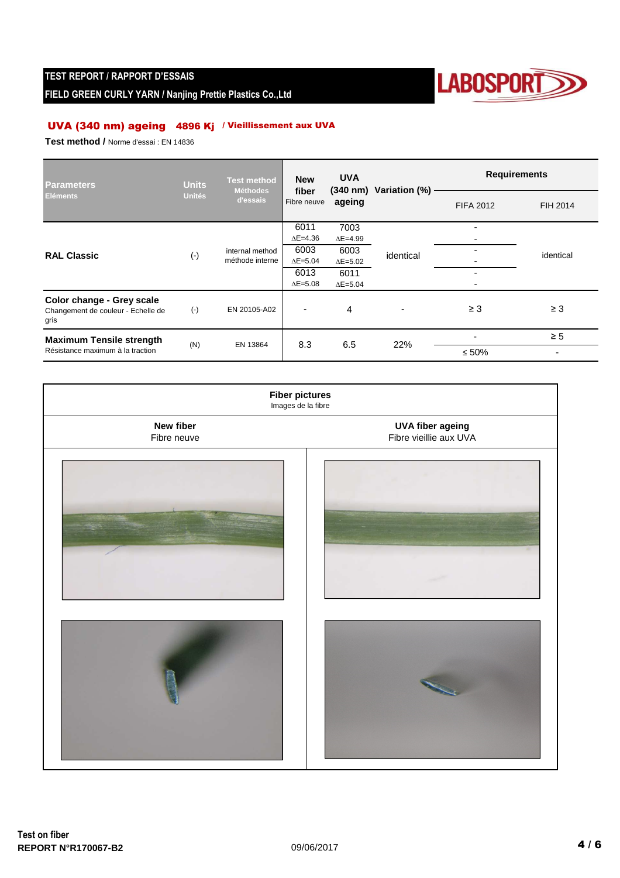#### **TEST REPORT / RAPPORT D'ESSAIS**

**FIELD GREEN CURLY YARN / Nanjing Prettie Plastics Co.,Ltd**



#### UVA (340 nm) ageing 4896 Kj / Vieillissement aux UVA

**Test method /** Norme d'essai : EN 14836

| Parameters                                                              | <b>Units</b>       | <b>Test method</b><br>Méthodes | <b>New</b><br>fiber<br>Fibre neuve | <b>UVA</b><br>$(340 \; \text{nm})$<br>ageing | Variation (%) | <b>Requirements</b>      |           |
|-------------------------------------------------------------------------|--------------------|--------------------------------|------------------------------------|----------------------------------------------|---------------|--------------------------|-----------|
| <b>Eléments</b>                                                         | <b>Unités</b>      | d'essais                       |                                    |                                              |               | <b>FIFA 2012</b>         | FIH 2014  |
|                                                                         | $(\textnormal{-})$ |                                | 6011                               | 7003                                         | identical     | $\overline{\phantom{0}}$ |           |
| <b>RAL Classic</b>                                                      |                    |                                | $\Delta E = 4.36$                  | $\Delta E = 4.99$                            |               | $\overline{\phantom{0}}$ |           |
|                                                                         |                    | internal method                | 6003                               | 6003                                         |               |                          | identical |
|                                                                         |                    | méthode interne                | $\Delta E = 5.04$                  | $\Delta E = 5.02$                            |               |                          |           |
|                                                                         |                    |                                | 6013                               | 6011                                         |               | $\overline{\phantom{0}}$ |           |
|                                                                         |                    |                                | $\Delta E = 5.08$                  | $\Delta E = 5.04$                            |               | ۰                        |           |
| Color change - Grey scale<br>Changement de couleur - Echelle de<br>gris | $(-)$              | EN 20105-A02                   |                                    | 4                                            |               | $\geq$ 3                 | $\geq 3$  |
| <b>Maximum Tensile strength</b><br>Résistance maximum à la traction     | (N)<br>EN 13864    |                                | 8.3                                | 6.5                                          | 22%           |                          | $\geq 5$  |
|                                                                         |                    |                                |                                    |                                              |               | $\leq 50\%$              |           |

| <b>Fiber pictures</b><br>Images de la fibre |                                                   |  |  |  |
|---------------------------------------------|---------------------------------------------------|--|--|--|
| New fiber<br>Fibre neuve                    | <b>UVA fiber ageing</b><br>Fibre vieillie aux UVA |  |  |  |
|                                             |                                                   |  |  |  |
|                                             |                                                   |  |  |  |
|                                             |                                                   |  |  |  |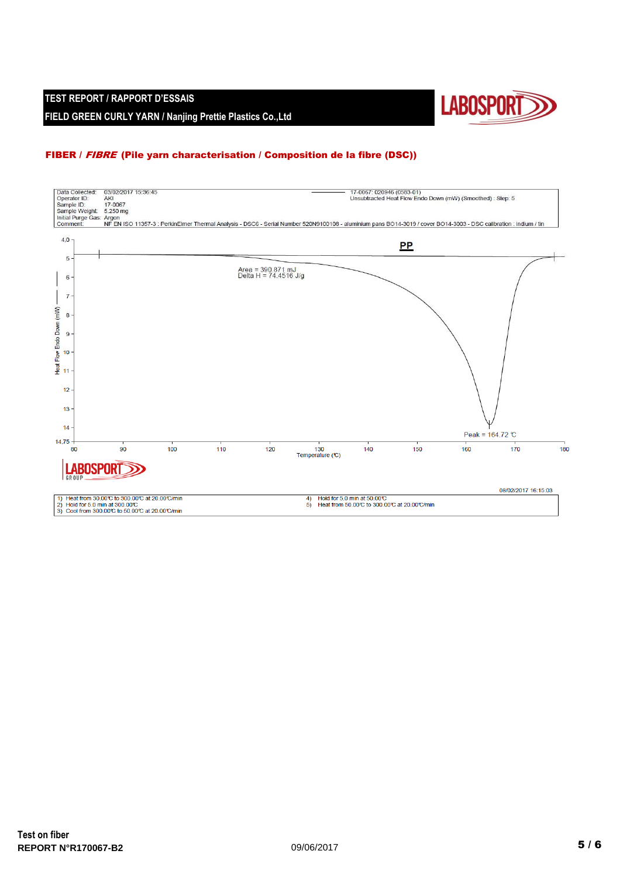#### **TEST REPORT / RAPPORT D'ESSAIS FIELD GREEN CURLY YARN / Nanjing Prettie Plastics Co.,Ltd**



#### FIBER / FIBRE (Pile yarn characterisation / Composition de la fibre (DSC))